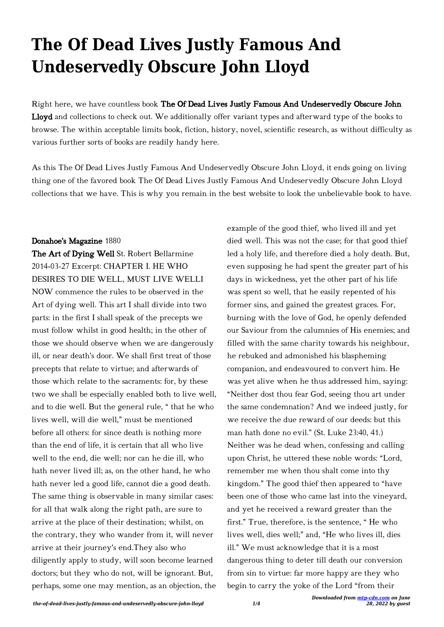# **The Of Dead Lives Justly Famous And Undeservedly Obscure John Lloyd**

Right here, we have countless book The Of Dead Lives Justly Famous And Undeservedly Obscure John Lloyd and collections to check out. We additionally offer variant types and afterward type of the books to browse. The within acceptable limits book, fiction, history, novel, scientific research, as without difficulty as various further sorts of books are readily handy here.

As this The Of Dead Lives Justly Famous And Undeservedly Obscure John Lloyd, it ends going on living thing one of the favored book The Of Dead Lives Justly Famous And Undeservedly Obscure John Lloyd collections that we have. This is why you remain in the best website to look the unbelievable book to have.

## Donahoe's Magazine 1880

The Art of Dying Well St. Robert Bellarmine 2014-03-27 Excerpt: CHAPTER I. HE WHO DESIRES TO DIE WELL, MUST LIVE WELLI NOW commence the rules to be observed in the Art of dying well. This art I shall divide into two parts: in the first I shall speak of the precepts we must follow whilst in good health; in the other of those we should observe when we are dangerously ill, or near death's door. We shall first treat of those precepts that relate to virtue; and afterwards of those which relate to the sacraments: for, by these two we shall be especially enabled both to live well, and to die well. But the general rule, " that he who lives well, will die well," must be mentioned before all others: for since death is nothing more than the end of life, it is certain that all who live well to the end, die well; nor can he die ill, who hath never lived ill; as, on the other hand, he who hath never led a good life, cannot die a good death. The same thing is observable in many similar cases: for all that walk along the right path, are sure to arrive at the place of their destination; whilst, on the contrary, they who wander from it, will never arrive at their journey's end.They also who diligently apply to study, will soon become learned doctors; but they who do not, will be ignorant. But, perhaps, some one may mention, as an objection, the example of the good thief, who lived ill and yet died well. This was not the case; for that good thief led a holy life, and therefore died a holy death. But, even supposing he had spent the greater part of his days in wickedness, yet the other part of his life was spent so well, that he easily repented of his former sins, and gained the greatest graces. For, burning with the love of God, he openly defended our Saviour from the calumnies of His enemies; and filled with the same charity towards his neighbour, he rebuked and admonished his blaspheming companion, and endeavoured to convert him. He was yet alive when he thus addressed him, saying: "Neither dost thou fear God, seeing thou art under the same condemnation? And we indeed justly, for we receive the due reward of our deeds: but this man hath done no evil." (St. Luke 23:40, 41.) Neither was he dead when, confessing and calling upon Christ, he uttered these noble words: "Lord, remember me when thou shalt come into thy kingdom." The good thief then appeared to "have been one of those who came last into the vineyard, and yet he received a reward greater than the first." True, therefore, is the sentence, " He who lives well, dies well;" and, "He who lives ill, dies ill." We must acknowledge that it is a most dangerous thing to deter till death our conversion from sin to virtue: far more happy are they who begin to carry the yoke of the Lord "from their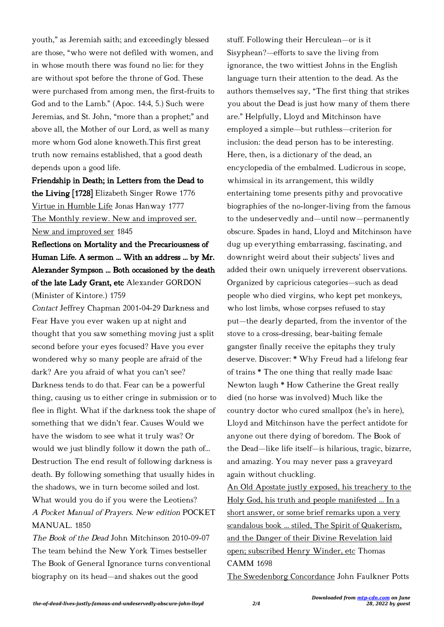youth," as Jeremiah saith; and exceedingly blessed are those, "who were not defiled with women, and in whose mouth there was found no lie: for they are without spot before the throne of God. These were purchased from among men, the first-fruits to God and to the Lamb." (Apoc. 14:4, 5.) Such were Jeremias, and St. John, "more than a prophet;" and above all, the Mother of our Lord, as well as many more whom God alone knoweth.This first great truth now remains established, that a good death depends upon a good life.

# Friendship in Death; in Letters from the Dead to the Living [1728] Elizabeth Singer Rowe 1776 Virtue in Humble Life Jonas Hanway 1777 The Monthly review. New and improved ser. New and improved ser 1845

Reflections on Mortality and the Precariousness of Human Life. A sermon ... With an address ... by Mr. Alexander Sympson ... Both occasioned by the death of the late Lady Grant, etc Alexander GORDON (Minister of Kintore.) 1759

Contact Jeffrey Chapman 2001-04-29 Darkness and Fear Have you ever waken up at night and thought that you saw something moving just a split second before your eyes focused? Have you ever wondered why so many people are afraid of the dark? Are you afraid of what you can't see? Darkness tends to do that. Fear can be a powerful thing, causing us to either cringe in submission or to flee in flight. What if the darkness took the shape of something that we didn't fear. Causes Would we have the wisdom to see what it truly was? Or would we just blindly follow it down the path of... Destruction The end result of following darkness is death. By following something that usually hides in the shadows, we in turn become soiled and lost. What would you do if you were the Leotiens? A Pocket Manual of Prayers. New edition POCKET MANUAL. 1850

The Book of the Dead John Mitchinson 2010-09-07 The team behind the New York Times bestseller The Book of General Ignorance turns conventional biography on its head—and shakes out the good

stuff. Following their Herculean—or is it Sisyphean?—efforts to save the living from ignorance, the two wittiest Johns in the English language turn their attention to the dead. As the authors themselves say, "The first thing that strikes you about the Dead is just how many of them there are." Helpfully, Lloyd and Mitchinson have employed a simple—but ruthless—criterion for inclusion: the dead person has to be interesting. Here, then, is a dictionary of the dead, an encyclopedia of the embalmed. Ludicrous in scope, whimsical in its arrangement, this wildly entertaining tome presents pithy and provocative biographies of the no-longer-living from the famous to the undeservedly and—until now—permanently obscure. Spades in hand, Lloyd and Mitchinson have dug up everything embarrassing, fascinating, and downright weird about their subjects' lives and added their own uniquely irreverent observations. Organized by capricious categories—such as dead people who died virgins, who kept pet monkeys, who lost limbs, whose corpses refused to stay put—the dearly departed, from the inventor of the stove to a cross-dressing, bear-baiting female gangster finally receive the epitaphs they truly deserve. Discover: \* Why Freud had a lifelong fear of trains \* The one thing that really made Isaac Newton laugh \* How Catherine the Great really died (no horse was involved) Much like the country doctor who cured smallpox (he's in here), Lloyd and Mitchinson have the perfect antidote for anyone out there dying of boredom. The Book of the Dead—like life itself—is hilarious, tragic, bizarre, and amazing. You may never pass a graveyard again without chuckling.

An Old Apostate justly exposed, his treachery to the Holy God, his truth and people manifested ... In a short answer, or some brief remarks upon a very scandalous book ... stiled, The Spirit of Quakerism, and the Danger of their Divine Revelation laid open; subscribed Henry Winder, etc Thomas CAMM 1698

The Swedenborg Concordance John Faulkner Potts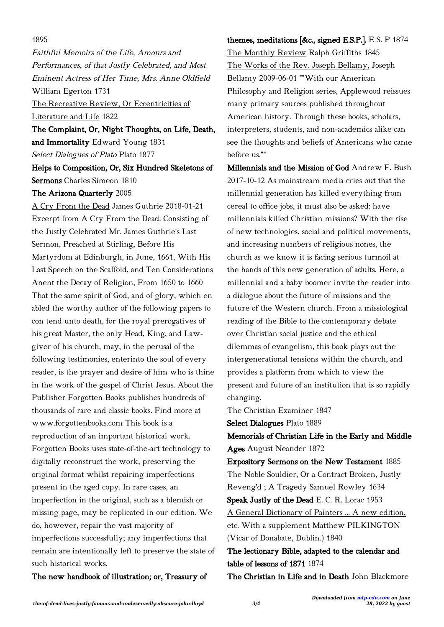#### 1895

Faithful Memoirs of the Life, Amours and Performances, of that Justly Celebrated, and Most Eminent Actress of Her Time, Mrs. Anne Oldfield William Egerton 1731

The Recreative Review, Or Eccentricities of Literature and Life 1822

The Complaint, Or, Night Thoughts, on Life, Death, and Immortality Edward Young 1831

Select Dialogues of Plato Plato 1877

Helps to Composition, Or, Six Hundred Skeletons of Sermons Charles Simeon 1810

## The Arizona Quarterly 2005

A Cry From the Dead James Guthrie 2018-01-21 Excerpt from A Cry From the Dead: Consisting of the Justly Celebrated Mr. James Guthrie's Last Sermon, Preached at Stirling, Before His Martyrdom at Edinburgh, in June, 1661, With His Last Speech on the Scaffold, and Ten Considerations Anent the Decay of Religion, From 1650 to 1660 That the same spirit of God, and of glory, which en abled the worthy author of the following papers to con tend unto death, for the royal prerogatives of his great Master, the only Head, King, and Lawgiver of his church, may, in the perusal of the following testimonies, enterinto the soul of every reader, is the prayer and desire of him who is thine in the work of the gospel of Christ Jesus. About the Publisher Forgotten Books publishes hundreds of thousands of rare and classic books. Find more at www.forgottenbooks.com This book is a reproduction of an important historical work. Forgotten Books uses state-of-the-art technology to digitally reconstruct the work, preserving the original format whilst repairing imperfections present in the aged copy. In rare cases, an imperfection in the original, such as a blemish or missing page, may be replicated in our edition. We do, however, repair the vast majority of imperfections successfully; any imperfections that remain are intentionally left to preserve the state of such historical works.

#### The new handbook of illustration; or, Treasury of

## themes, meditations [&c., signed E.S.P.]. E S. P 1874

The Monthly Review Ralph Griffiths 1845 The Works of the Rev. Joseph Bellamy, Joseph Bellamy 2009-06-01 ""With our American Philosophy and Religion series, Applewood reissues many primary sources published throughout American history. Through these books, scholars, interpreters, students, and non-academics alike can see the thoughts and beliefs of Americans who came before us.""

Millennials and the Mission of God Andrew F. Bush 2017-10-12 As mainstream media cries out that the millennial generation has killed everything from cereal to office jobs, it must also be asked: have millennials killed Christian missions? With the rise of new technologies, social and political movements, and increasing numbers of religious nones, the church as we know it is facing serious turmoil at the hands of this new generation of adults. Here, a millennial and a baby boomer invite the reader into a dialogue about the future of missions and the future of the Western church. From a missiological reading of the Bible to the contemporary debate over Christian social justice and the ethical dilemmas of evangelism, this book plays out the intergenerational tensions within the church, and provides a platform from which to view the present and future of an institution that is so rapidly changing.

The Christian Examiner 1847 Select Dialogues Plato 1889 Memorials of Christian Life in the Early and Middle Ages August Neander 1872 Expository Sermons on the New Testament 1885 The Noble Souldier, Or a Contract Broken, Justly Reveng'd ; A Tragedy Samuel Rowley 1634 Speak Justly of the Dead E. C. R. Lorac 1953 A General Dictionary of Painters ... A new edition, etc. With a supplement Matthew PILKINGTON (Vicar of Donabate, Dublin.) 1840 The lectionary Bible, adapted to the calendar and table of lessons of 1871 1874

The Christian in Life and in Death John Blackmore